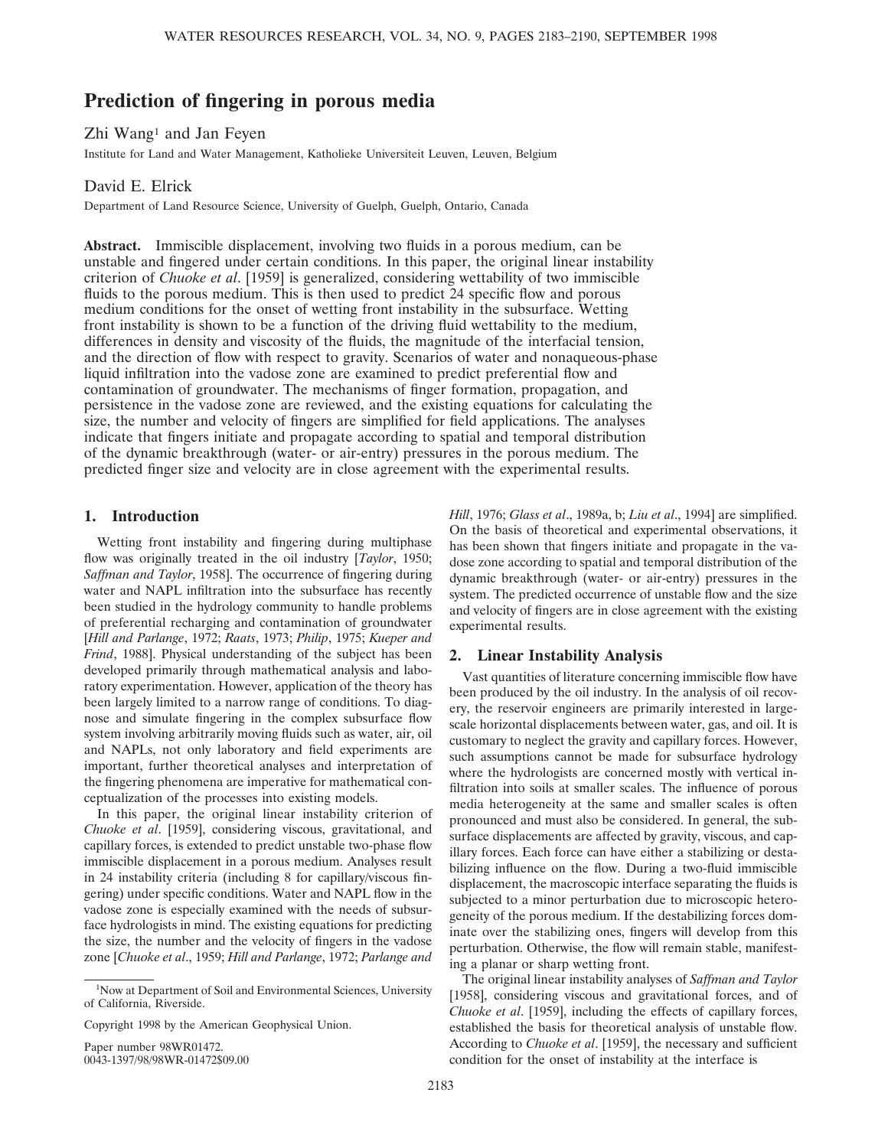# **Prediction of fingering in porous media**

Zhi Wang<sup>1</sup> and Jan Feyen

Institute for Land and Water Management, Katholieke Universiteit Leuven, Leuven, Belgium

## David E. Elrick

Department of Land Resource Science, University of Guelph, Guelph, Ontario, Canada

**Abstract.** Immiscible displacement, involving two fluids in a porous medium, can be unstable and fingered under certain conditions. In this paper, the original linear instability criterion of *Chuoke et al*. [1959] is generalized, considering wettability of two immiscible fluids to the porous medium. This is then used to predict 24 specific flow and porous medium conditions for the onset of wetting front instability in the subsurface. Wetting front instability is shown to be a function of the driving fluid wettability to the medium, differences in density and viscosity of the fluids, the magnitude of the interfacial tension, and the direction of flow with respect to gravity. Scenarios of water and nonaqueous-phase liquid infiltration into the vadose zone are examined to predict preferential flow and contamination of groundwater. The mechanisms of finger formation, propagation, and persistence in the vadose zone are reviewed, and the existing equations for calculating the size, the number and velocity of fingers are simplified for field applications. The analyses indicate that fingers initiate and propagate according to spatial and temporal distribution of the dynamic breakthrough (water- or air-entry) pressures in the porous medium. The predicted finger size and velocity are in close agreement with the experimental results.

# **1. Introduction**

Wetting front instability and fingering during multiphase flow was originally treated in the oil industry [*Taylor*, 1950; *Saffman and Taylor*, 1958]. The occurrence of fingering during water and NAPL infiltration into the subsurface has recently been studied in the hydrology community to handle problems of preferential recharging and contamination of groundwater [*Hill and Parlange*, 1972; *Raats*, 1973; *Philip*, 1975; *Kueper and Frind*, 1988]. Physical understanding of the subject has been developed primarily through mathematical analysis and laboratory experimentation. However, application of the theory has been largely limited to a narrow range of conditions. To diagnose and simulate fingering in the complex subsurface flow system involving arbitrarily moving fluids such as water, air, oil and NAPLs, not only laboratory and field experiments are important, further theoretical analyses and interpretation of the fingering phenomena are imperative for mathematical conceptualization of the processes into existing models.

In this paper, the original linear instability criterion of *Chuoke et al*. [1959], considering viscous, gravitational, and capillary forces, is extended to predict unstable two-phase flow immiscible displacement in a porous medium. Analyses result in 24 instability criteria (including 8 for capillary/viscous fingering) under specific conditions. Water and NAPL flow in the vadose zone is especially examined with the needs of subsurface hydrologists in mind. The existing equations for predicting the size, the number and the velocity of fingers in the vadose zone [*Chuoke et al*., 1959; *Hill and Parlange*, 1972; *Parlange and*

Paper number 98WR01472. 0043-1397/98/98WR-01472\$09.00 *Hill*, 1976; *Glass et al*., 1989a, b; *Liu et al*., 1994] are simplified. On the basis of theoretical and experimental observations, it has been shown that fingers initiate and propagate in the vadose zone according to spatial and temporal distribution of the dynamic breakthrough (water- or air-entry) pressures in the system. The predicted occurrence of unstable flow and the size and velocity of fingers are in close agreement with the existing experimental results.

### **2. Linear Instability Analysis**

Vast quantities of literature concerning immiscible flow have been produced by the oil industry. In the analysis of oil recovery, the reservoir engineers are primarily interested in largescale horizontal displacements between water, gas, and oil. It is customary to neglect the gravity and capillary forces. However, such assumptions cannot be made for subsurface hydrology where the hydrologists are concerned mostly with vertical infiltration into soils at smaller scales. The influence of porous media heterogeneity at the same and smaller scales is often pronounced and must also be considered. In general, the subsurface displacements are affected by gravity, viscous, and capillary forces. Each force can have either a stabilizing or destabilizing influence on the flow. During a two-fluid immiscible displacement, the macroscopic interface separating the fluids is subjected to a minor perturbation due to microscopic heterogeneity of the porous medium. If the destabilizing forces dominate over the stabilizing ones, fingers will develop from this perturbation. Otherwise, the flow will remain stable, manifesting a planar or sharp wetting front.

The original linear instability analyses of *Saffman and Taylor* [1958], considering viscous and gravitational forces, and of *Chuoke et al*. [1959], including the effects of capillary forces, established the basis for theoretical analysis of unstable flow. According to *Chuoke et al*. [1959], the necessary and sufficient condition for the onset of instability at the interface is

<sup>&</sup>lt;sup>1</sup>Now at Department of Soil and Environmental Sciences, University of California, Riverside.

Copyright 1998 by the American Geophysical Union.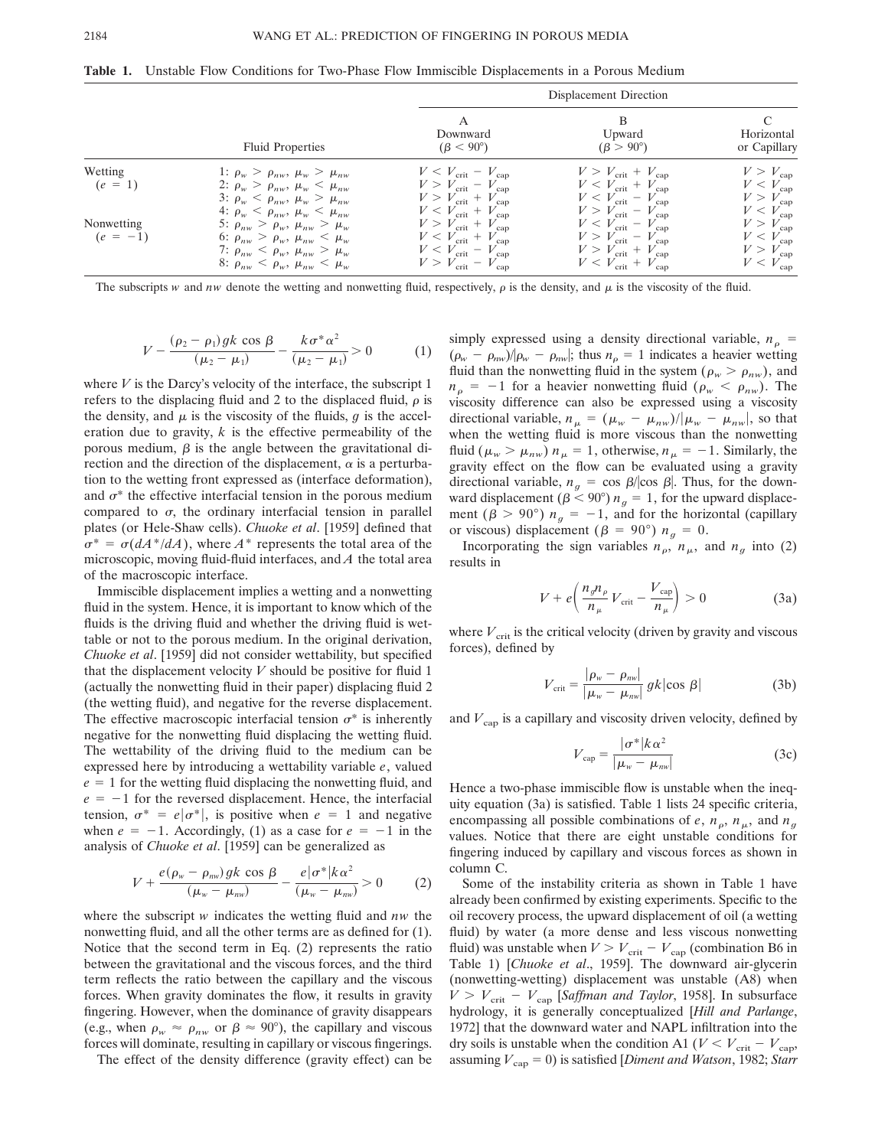**Table 1.** Unstable Flow Conditions for Two-Phase Flow Immiscible Displacements in a Porous Medium

|                          |                                                                                                                                                                                         | Displacement Direction                                                                                                                                               |                                                                                                                                                                      |                                                                                              |  |  |
|--------------------------|-----------------------------------------------------------------------------------------------------------------------------------------------------------------------------------------|----------------------------------------------------------------------------------------------------------------------------------------------------------------------|----------------------------------------------------------------------------------------------------------------------------------------------------------------------|----------------------------------------------------------------------------------------------|--|--|
|                          | Fluid Properties                                                                                                                                                                        | A<br>Downward<br>$(\beta < 90^{\circ})$                                                                                                                              | B<br>Upward<br>$(\beta > 90^{\circ})$                                                                                                                                | Horizontal<br>or Capillary                                                                   |  |  |
| Wetting<br>$(e = 1)$     | 1: $\rho_w > \rho_{nw}, \mu_w > \mu_{nw}$<br>2: $\rho_w > \rho_{nw}, \mu_w < \mu_{nw}$<br>3: $\rho_w < \rho_{nw}, \mu_w > \mu_{nw}$<br>4: $\rho_w < \rho_{nw}, \mu_w < \mu_{nw}$        | $V < V_{\text{crit}} - V_{\text{cap}}$<br>$V > V_{\text{crit}} - V_{\text{cap}}$<br>$V > V_{\text{crit}} + V_{\text{cap}}$<br>$V < V_{\text{crit}} + V_{\text{cap}}$ | $V > V_{\text{crit}} + V_{\text{cap}}$<br>$V < V_{\text{crit}} + V_{\text{cap}}$<br>$V < V_{\text{crit}} - V_{\text{cap}}$<br>$V > V_{\text{crit}} - V_{\text{cap}}$ | $V > V_{\text{cap}}$<br>$V < V_{\text{cap}}$<br>$V > V_{\text{cap}}$<br>$V < V_{\text{cap}}$ |  |  |
| Nonwetting<br>$(e = -1)$ | 5: $\rho_{nw} > \rho_{w}, \mu_{nw} > \mu_{w}$<br>6: $\rho_{nw} > \rho_w, \mu_{nw} < \mu_w$<br>7: $\rho_{nw} < \rho_w$ , $\mu_{nw} > \mu_w$<br>8: $\rho_{nw} < \rho_w, \mu_{nw} < \mu_w$ | $V > V_{\text{crit}} + V_{\text{cap}}$<br>$V < V_{\text{crit}} + V_{\text{cap}}$<br>$V < V_{\text{crit}} - V_{\text{cap}}$<br>$V > V_{\text{crit}} - V_{\text{cap}}$ | $V < V_{\text{crit}} - V_{\text{cap}}$<br>$V > V_{\text{crit}} - V_{\text{cap}}$<br>$V > V_{\text{crit}} + V_{\text{cap}}$<br>$V < V_{\text{crit}} + V_{\text{cap}}$ | $V > V_{\text{cap}}$<br>$V < V_{\text{cap}}$<br>$V > V_{\text{cap}}$<br>$V < V_{\text{cap}}$ |  |  |

The subscripts *w* and *nw* denote the wetting and nonwetting fluid, respectively,  $\rho$  is the density, and  $\mu$  is the viscosity of the fluid.

$$
V - \frac{(\rho_2 - \rho_1) g k \cos \beta}{(\mu_2 - \mu_1)} - \frac{k \sigma^* \alpha^2}{(\mu_2 - \mu_1)} > 0 \tag{1}
$$

where  $V$  is the Darcy's velocity of the interface, the subscript  $1$ refers to the displacing fluid and 2 to the displaced fluid,  $\rho$  is the density, and  $\mu$  is the viscosity of the fluids, *g* is the acceleration due to gravity, *k* is the effective permeability of the porous medium,  $\beta$  is the angle between the gravitational direction and the direction of the displacement,  $\alpha$  is a perturbation to the wetting front expressed as (interface deformation), and  $\sigma^*$  the effective interfacial tension in the porous medium compared to  $\sigma$ , the ordinary interfacial tension in parallel plates (or Hele-Shaw cells). *Chuoke et al*. [1959] defined that  $\sigma^* = \sigma(dA^*/dA)$ , where *A*<sup>\*</sup> represents the total area of the microscopic, moving fluid-fluid interfaces, and *A* the total area of the macroscopic interface.

Immiscible displacement implies a wetting and a nonwetting fluid in the system. Hence, it is important to know which of the fluids is the driving fluid and whether the driving fluid is wettable or not to the porous medium. In the original derivation, *Chuoke et al*. [1959] did not consider wettability, but specified that the displacement velocity  $V$  should be positive for fluid 1 (actually the nonwetting fluid in their paper) displacing fluid 2 (the wetting fluid), and negative for the reverse displacement. The effective macroscopic interfacial tension  $\sigma^*$  is inherently negative for the nonwetting fluid displacing the wetting fluid. The wettability of the driving fluid to the medium can be expressed here by introducing a wettability variable *e*, valued  $e = 1$  for the wetting fluid displacing the nonwetting fluid, and  $e = -1$  for the reversed displacement. Hence, the interfacial tension,  $\sigma^* = e|\sigma^*|$ , is positive when  $e = 1$  and negative when  $e = -1$ . Accordingly, (1) as a case for  $e = -1$  in the analysis of *Chuoke et al*. [1959] can be generalized as

$$
V + \frac{e(\rho_w - \rho_{nw})gk\,\cos\,\beta}{(\mu_w - \mu_{nw})} - \frac{e|\sigma^*|k\alpha^2}{(\mu_w - \mu_{nw})} > 0 \qquad (2)
$$

where the subscript *w* indicates the wetting fluid and *nw* the nonwetting fluid, and all the other terms are as defined for (1). Notice that the second term in Eq. (2) represents the ratio between the gravitational and the viscous forces, and the third term reflects the ratio between the capillary and the viscous forces. When gravity dominates the flow, it results in gravity fingering. However, when the dominance of gravity disappears (e.g., when  $\rho_w \approx \rho_{nw}$  or  $\beta \approx 90^{\circ}$ ), the capillary and viscous forces will dominate, resulting in capillary or viscous fingerings.

The effect of the density difference (gravity effect) can be

simply expressed using a density directional variable,  $n<sub>o</sub>$  =  $(\rho_w - \rho_{nw})/\rho_w - \rho_{nw}$ ; thus  $n_o = 1$  indicates a heavier wetting fluid than the nonwetting fluid in the system ( $\rho_w > \rho_{nw}$ ), and  $n_{\rho} = -1$  for a heavier nonwetting fluid ( $\rho_{w} < \rho_{nw}$ ). The viscosity difference can also be expressed using a viscosity directional variable,  $n_{\mu} = (\mu_w - \mu_{nw})/|\mu_w - \mu_{nw}|$ , so that when the wetting fluid is more viscous than the nonwetting fluid ( $\mu_w > \mu_{nw}$ )  $n_\mu = 1$ , otherwise,  $n_\mu = -1$ . Similarly, the gravity effect on the flow can be evaluated using a gravity directional variable,  $n_g = \cos \beta / \cos \beta$ . Thus, for the downward displacement ( $\beta$  < 90°)  $n_g = 1$ , for the upward displacement ( $\beta > 90^{\circ}$ )  $n_q = -1$ , and for the horizontal (capillary or viscous) displacement ( $\beta = 90^{\circ}$ )  $n_a = 0$ .

Incorporating the sign variables  $n_{\rho}$ ,  $n_{\mu}$ , and  $n_{\sigma}$  into (2) results in

$$
V + e\left(\frac{n_g n_\rho}{n_\mu} V_{\text{crit}} - \frac{V_{\text{cap}}}{n_\mu}\right) > 0
$$
 (3a)

where  $V_{\text{crit}}$  is the critical velocity (driven by gravity and viscous forces), defined by

$$
V_{\text{crit}} = \frac{|\rho_w - \rho_{\text{nw}}|}{|\mu_w - \mu_{\text{nw}}|} g k |\cos \beta| \tag{3b}
$$

and  $V_{\text{can}}$  is a capillary and viscosity driven velocity, defined by

$$
V_{\rm cap} = \frac{|\sigma^*|k\alpha^2}{|\mu_w - \mu_{\scriptscriptstyle{TW}}|} \tag{3c}
$$

Hence a two-phase immiscible flow is unstable when the inequity equation (3a) is satisfied. Table 1 lists 24 specific criteria, encompassing all possible combinations of *e*,  $n_p$ ,  $n_\mu$ , and  $n_q$ values. Notice that there are eight unstable conditions for fingering induced by capillary and viscous forces as shown in column C.

Some of the instability criteria as shown in Table 1 have already been confirmed by existing experiments. Specific to the oil recovery process, the upward displacement of oil (a wetting fluid) by water (a more dense and less viscous nonwetting fluid) was unstable when  $V > V_{\text{crit}} - V_{\text{cap}}$  (combination B6 in Table 1) [*Chuoke et al*., 1959]. The downward air-glycerin (nonwetting-wetting) displacement was unstable (A8) when  $V > V_{\text{crit}} - V_{\text{cap}}$  [*Saffman and Taylor*, 1958]. In subsurface hydrology, it is generally conceptualized [*Hill and Parlange*, 1972] that the downward water and NAPL infiltration into the dry soils is unstable when the condition A1 ( $V < V_{\text{crit}} - V_{\text{cap}}$ , assuming  $V_{\text{cap}} = 0$ ) is satisfied [*Diment and Watson*, 1982; *Starr*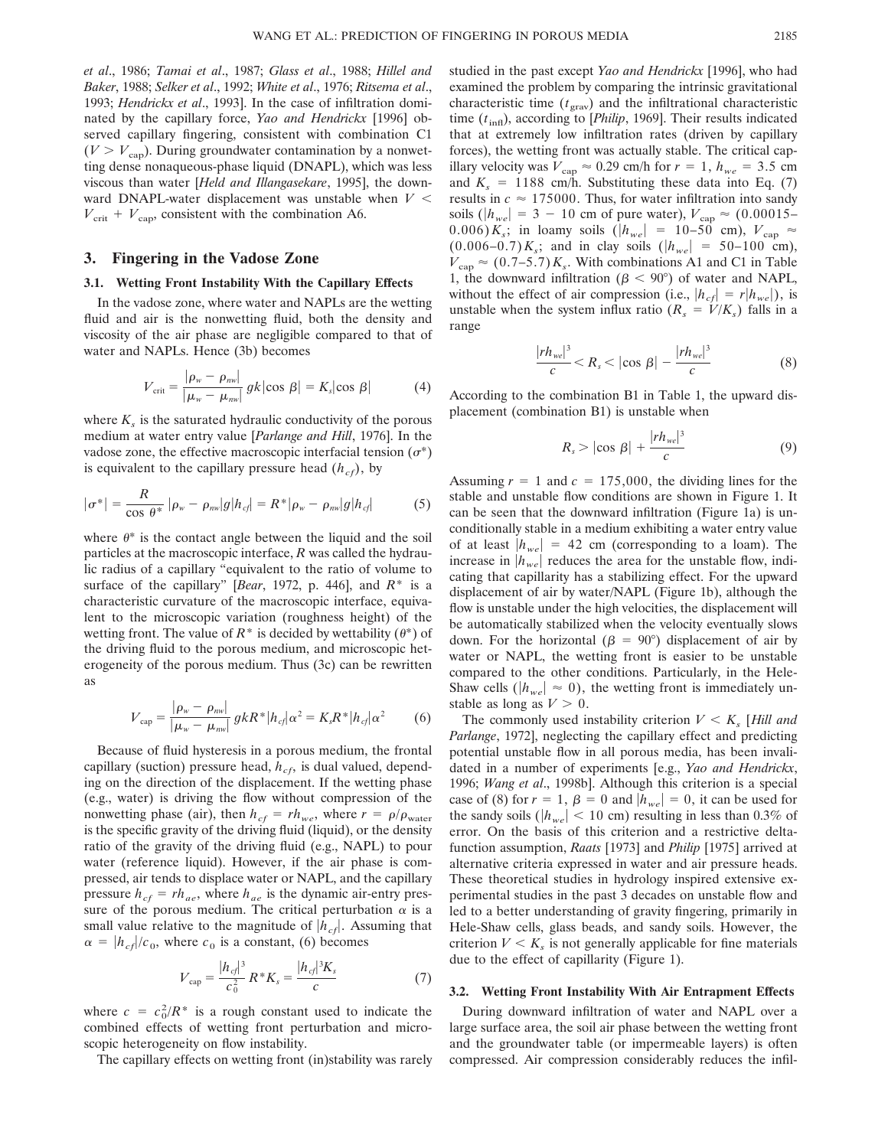*et al*., 1986; *Tamai et al*., 1987; *Glass et al*., 1988; *Hillel and Baker*, 1988; *Selker et al*., 1992; *White et al*., 1976; *Ritsema et al*., 1993; *Hendrickx et al*., 1993]. In the case of infiltration dominated by the capillary force, *Yao and Hendrickx* [1996] observed capillary fingering, consistent with combination C1  $(V > V<sub>cap</sub>)$ . During groundwater contamination by a nonwetting dense nonaqueous-phase liquid (DNAPL), which was less viscous than water [*Held and Illangasekare*, 1995], the downward DNAPL-water displacement was unstable when  $V <$  $V_{\text{crit}} + V_{\text{cap}}$ , consistent with the combination A6.

### **3. Fingering in the Vadose Zone**

#### **3.1. Wetting Front Instability With the Capillary Effects**

In the vadose zone, where water and NAPLs are the wetting fluid and air is the nonwetting fluid, both the density and viscosity of the air phase are negligible compared to that of water and NAPLs. Hence (3b) becomes

$$
V_{\text{crit}} = \frac{|\rho_w - \rho_{\text{nw}}|}{|\mu_w - \mu_{\text{nw}}|} g k |\cos \beta| = K_s |\cos \beta| \tag{4}
$$

where  $K<sub>s</sub>$  is the saturated hydraulic conductivity of the porous medium at water entry value [*Parlange and Hill*, 1976]. In the vadose zone, the effective macroscopic interfacial tension  $(\sigma^*)$ is equivalent to the capillary pressure head  $(h_{cf})$ , by

$$
|\sigma^*| = \frac{R}{\cos \theta^*} |\rho_w - \rho_{nw}| g |h_{cf}| = R^* |\rho_w - \rho_{nw}| g |h_{cf}| \tag{5}
$$

where  $\theta^*$  is the contact angle between the liquid and the soil particles at the macroscopic interface, *R* was called the hydraulic radius of a capillary "equivalent to the ratio of volume to surface of the capillary" [*Bear*, 1972, p. 446], and *R*\* is a characteristic curvature of the macroscopic interface, equivalent to the microscopic variation (roughness height) of the wetting front. The value of  $R^*$  is decided by wettability ( $\theta^*$ ) of the driving fluid to the porous medium, and microscopic heterogeneity of the porous medium. Thus (3c) can be rewritten as

$$
V_{\rm cap} = \frac{|\rho_w - \rho_{\rm nw}|}{|\mu_w - \mu_{\rm nw}|} gk^* |h_{cf}| \alpha^2 = K_s R^* |h_{cf}| \alpha^2 \qquad (6)
$$

Because of fluid hysteresis in a porous medium, the frontal capillary (suction) pressure head,  $h_{cf}$ , is dual valued, depending on the direction of the displacement. If the wetting phase (e.g., water) is driving the flow without compression of the nonwetting phase (air), then  $h_{cf} = rh_{we}$ , where  $r = \rho/\rho_{water}$ is the specific gravity of the driving fluid (liquid), or the density ratio of the gravity of the driving fluid (e.g., NAPL) to pour water (reference liquid). However, if the air phase is compressed, air tends to displace water or NAPL, and the capillary pressure  $h_{cf} = rh_{ae}$ , where  $h_{ae}$  is the dynamic air-entry pressure of the porous medium. The critical perturbation  $\alpha$  is a small value relative to the magnitude of  $|h_{cf}|$ . Assuming that  $\alpha = |h_{cf}|/c_0$ , where  $c_0$  is a constant, (6) becomes

$$
V_{\rm cap} = \frac{|h_{cf}|^3}{c_0^2} R^* K_s = \frac{|h_{cf}|^3 K_s}{c} \tag{7}
$$

where  $c = c_0^2/R^*$  is a rough constant used to indicate the combined effects of wetting front perturbation and microscopic heterogeneity on flow instability.

The capillary effects on wetting front (in)stability was rarely

studied in the past except *Yao and Hendrickx* [1996], who had examined the problem by comparing the intrinsic gravitational characteristic time  $(t_{grav})$  and the infiltrational characteristic time ( $t<sub>inf</sub>$ ), according to [*Philip*, 1969]. Their results indicated that at extremely low infiltration rates (driven by capillary forces), the wetting front was actually stable. The critical capillary velocity was  $V_{\text{cap}} \approx 0.29$  cm/h for  $r = 1$ ,  $h_{we} = 3.5$  cm and  $K_s = 1188$  cm/h. Substituting these data into Eq. (7) results in  $c \approx 175000$ . Thus, for water infiltration into sandy soils ( $|h_{we}| = 3 - 10$  cm of pure water),  $V_{cap} \approx (0.00015 -$ 0.006)  $K_s$ ; in loamy soils ( $|h_{we}| = 10-50$  cm),  $V_{cap} \approx$  $(0.006-0.7) K_s$ ; and in clay soils  $(|h_{we}| = 50-100$  cm),  $V_{\text{cap}} \approx (0.7-5.7) K_s$ . With combinations A1 and C1 in Table 1, the downward infiltration ( $\beta$  < 90°) of water and NAPL, without the effect of air compression (i.e.,  $|h_{cf}| = r|h_{we}|$ ), is unstable when the system influx ratio  $(R_s = V/K_s)$  falls in a range

$$
\frac{|rh_{we}|^3}{c} < R_s < |\cos \beta| - \frac{|rh_{we}|^3}{c} \tag{8}
$$

According to the combination B1 in Table 1, the upward displacement (combination B1) is unstable when

$$
R_s > |\cos \beta| + \frac{|rh_{we}|^3}{c} \tag{9}
$$

Assuming  $r = 1$  and  $c = 175,000$ , the dividing lines for the stable and unstable flow conditions are shown in Figure 1. It can be seen that the downward infiltration (Figure 1a) is unconditionally stable in a medium exhibiting a water entry value of at least  $|h_{we}| = 42$  cm (corresponding to a loam). The increase in  $|h_{we}|$  reduces the area for the unstable flow, indicating that capillarity has a stabilizing effect. For the upward displacement of air by water/NAPL (Figure 1b), although the flow is unstable under the high velocities, the displacement will be automatically stabilized when the velocity eventually slows down. For the horizontal ( $\beta = 90^{\circ}$ ) displacement of air by water or NAPL, the wetting front is easier to be unstable compared to the other conditions. Particularly, in the Hele-Shaw cells ( $|h_{we}| \approx 0$ ), the wetting front is immediately unstable as long as  $V > 0$ .

The commonly used instability criterion  $V \leq K_s$  [*Hill and Parlange*, 1972], neglecting the capillary effect and predicting potential unstable flow in all porous media, has been invalidated in a number of experiments [e.g., *Yao and Hendrickx*, 1996; *Wang et al*., 1998b]. Although this criterion is a special case of (8) for  $r = 1$ ,  $\beta = 0$  and  $|h_{we}| = 0$ , it can be used for the sandy soils ( $|h_{we}| < 10$  cm) resulting in less than 0.3% of error. On the basis of this criterion and a restrictive deltafunction assumption, *Raats* [1973] and *Philip* [1975] arrived at alternative criteria expressed in water and air pressure heads. These theoretical studies in hydrology inspired extensive experimental studies in the past 3 decades on unstable flow and led to a better understanding of gravity fingering, primarily in Hele-Shaw cells, glass beads, and sandy soils. However, the criterion  $V \leq K_s$  is not generally applicable for fine materials due to the effect of capillarity (Figure 1).

#### **3.2. Wetting Front Instability With Air Entrapment Effects**

During downward infiltration of water and NAPL over a large surface area, the soil air phase between the wetting front and the groundwater table (or impermeable layers) is often compressed. Air compression considerably reduces the infil-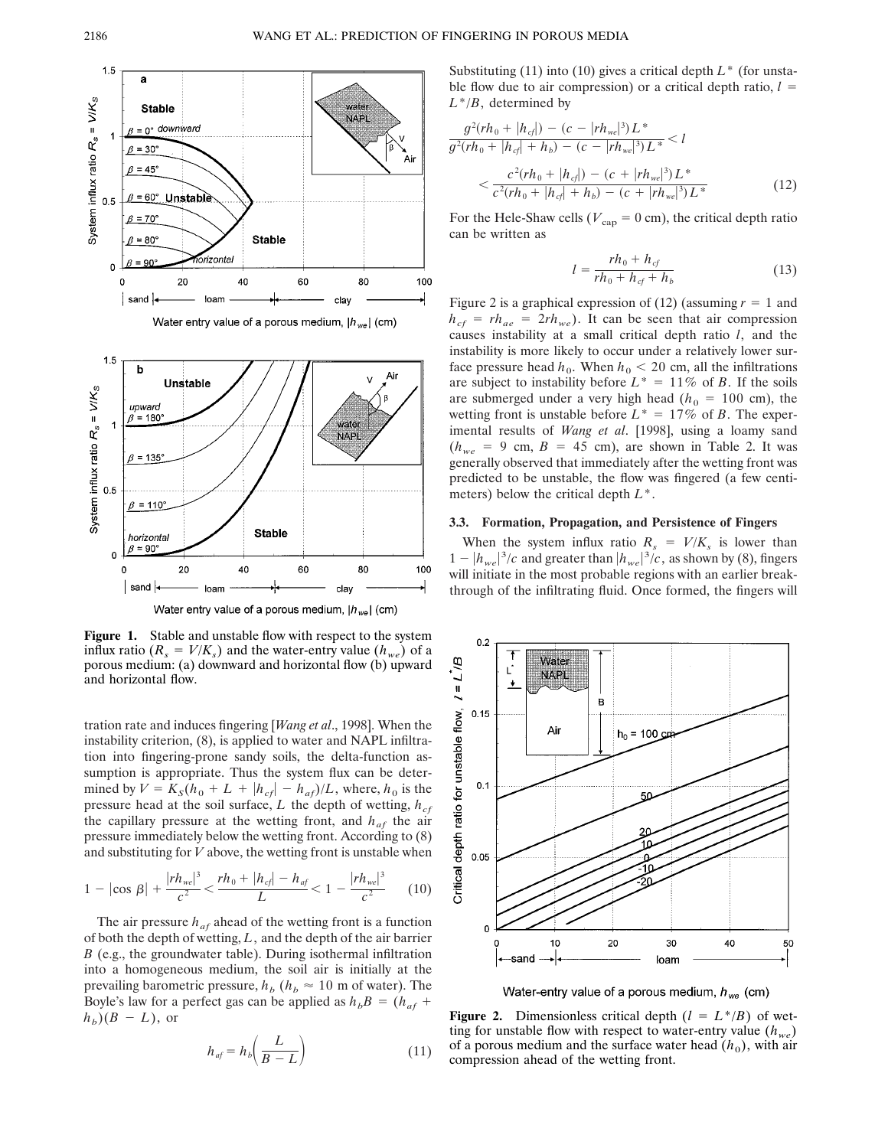



Figure 1. Stable and unstable flow with respect to the system influx ratio ( $R_s = V/K_s$ ) and the water-entry value ( $h_{we}$ ) of a porous medium: (a) downward and horizontal flow (b) upward and horizontal flow.

tration rate and induces fingering [*Wang et al*., 1998]. When the instability criterion, (8), is applied to water and NAPL infiltration into fingering-prone sandy soils, the delta-function assumption is appropriate. Thus the system flux can be determined by  $V = K_S(h_0 + L + |h_{cf}| - h_{af})/L$ , where,  $h_0$  is the pressure head at the soil surface,  $L$  the depth of wetting,  $h_{cf}$ the capillary pressure at the wetting front, and  $h_{af}$  the air pressure immediately below the wetting front. According to (8) and substituting for *V* above, the wetting front is unstable when

$$
1 - |\cos \beta| + \frac{|rh_{we}|^3}{c^2} < \frac{rh_0 + |h_{cf}| - h_{af}}{L} < 1 - \frac{|rh_{we}|^3}{c^2} \tag{10}
$$

The air pressure  $h_{af}$  ahead of the wetting front is a function of both the depth of wetting, *L*, and the depth of the air barrier *B* (e.g., the groundwater table). During isothermal infiltration into a homogeneous medium, the soil air is initially at the prevailing barometric pressure,  $h_b$  ( $h_b \approx 10$  m of water). The Boyle's law for a perfect gas can be applied as  $h_bB = (h_{af} +$  $h_b$ )( $B - L$ ), or

$$
h_{af} = h_b \left(\frac{L}{B - L}\right) \tag{11}
$$

Substituting (11) into (10) gives a critical depth *L*\* (for unstable flow due to air compression) or a critical depth ratio,  $l =$ *L*\*/*B*, determined by

$$
\frac{g^{2}(rh_{0} + |h_{cf}|) - (c - |rh_{we}|^{3})L^{*}}{g^{2}(rh_{0} + |h_{cf}| + h_{b}) - (c - |rh_{we}|^{3})L^{*}} < l
$$
\n
$$
< \frac{c^{2}(rh_{0} + |h_{cf}|) - (c + |rh_{we}|^{3})L^{*}}{c^{2}(rh_{0} + |h_{cf}| + h_{b}) - (c + |rh_{we}|^{3})L^{*}}
$$
\n(12)

For the Hele-Shaw cells ( $V_{\text{cap}} = 0$  cm), the critical depth ratio can be written as

$$
l = \frac{rh_0 + h_{cf}}{rh_0 + h_{cf} + h_b}
$$
 (13)

Figure 2 is a graphical expression of (12) (assuming  $r = 1$  and  $h_{cf} = rh_{ae} = 2rh_{we}$ . It can be seen that air compression causes instability at a small critical depth ratio *l*, and the instability is more likely to occur under a relatively lower surface pressure head  $h_0$ . When  $h_0 < 20$  cm, all the infiltrations are subject to instability before  $L^* = 11\%$  of *B*. If the soils are submerged under a very high head ( $h_0 = 100$  cm), the wetting front is unstable before  $L^* = 17\%$  of *B*. The experimental results of *Wang et al*. [1998], using a loamy sand  $(h_{we} = 9 \text{ cm}, B = 45 \text{ cm})$ , are shown in Table 2. It was generally observed that immediately after the wetting front was predicted to be unstable, the flow was fingered (a few centimeters) below the critical depth *L*\*.

#### **3.3. Formation, Propagation, and Persistence of Fingers**

When the system influx ratio  $R_s = V/K_s$  is lower than  $1 - |h_{we}|^3/c$  and greater than  $|h_{we}|^3/c$ , as shown by (8), fingers will initiate in the most probable regions with an earlier breakthrough of the infiltrating fluid. Once formed, the fingers will



Water-entry value of a porous medium,  $h_{we}$  (cm)

**Figure 2.** Dimensionless critical depth  $(l = L^*/B)$  of wetting for unstable flow with respect to water-entry value  $(h_{we})$ of a porous medium and the surface water head  $(h_0)$ , with air compression ahead of the wetting front.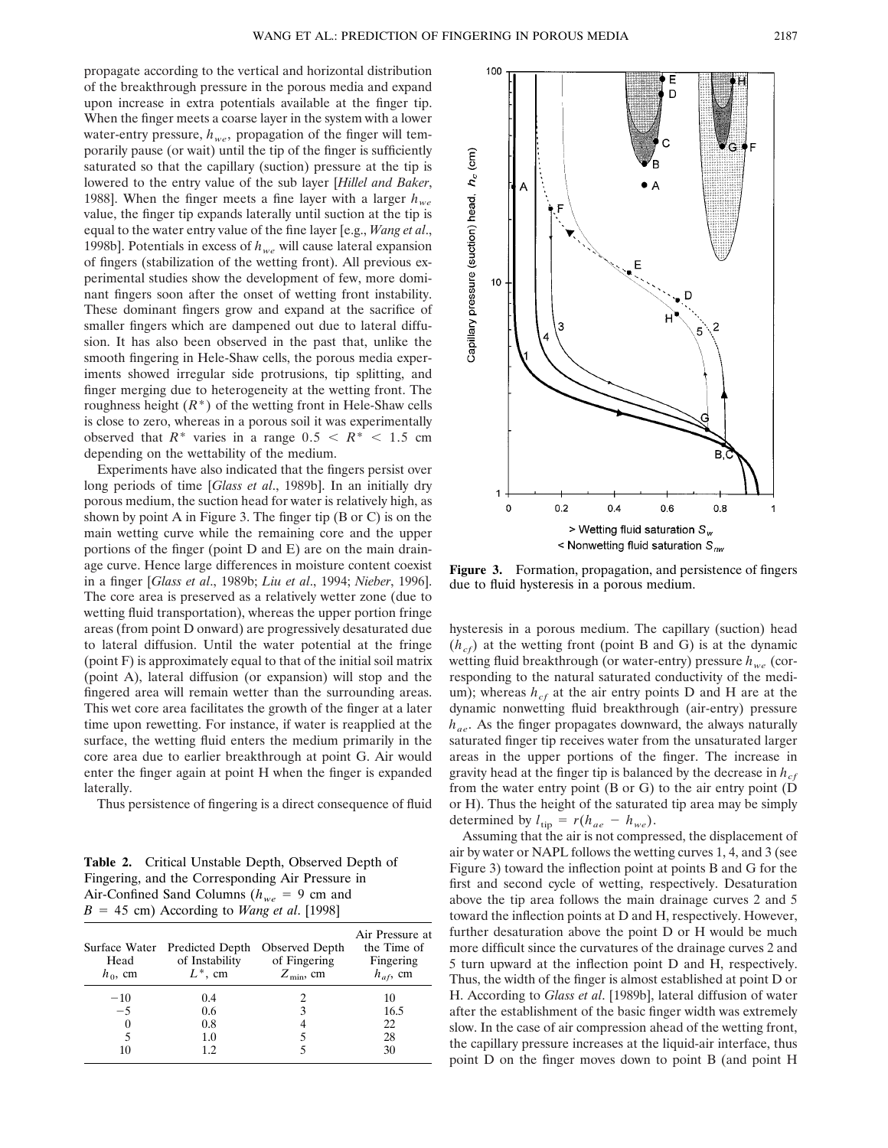propagate according to the vertical and horizontal distribution of the breakthrough pressure in the porous media and expand upon increase in extra potentials available at the finger tip. When the finger meets a coarse layer in the system with a lower water-entry pressure,  $h_{we}$ , propagation of the finger will temporarily pause (or wait) until the tip of the finger is sufficiently saturated so that the capillary (suction) pressure at the tip is lowered to the entry value of the sub layer [*Hillel and Baker*, 1988]. When the finger meets a fine layer with a larger  $h_{we}$ value, the finger tip expands laterally until suction at the tip is equal to the water entry value of the fine layer [e.g., *Wang et al*., 1998b]. Potentials in excess of  $h_{we}$  will cause lateral expansion of fingers (stabilization of the wetting front). All previous experimental studies show the development of few, more dominant fingers soon after the onset of wetting front instability. These dominant fingers grow and expand at the sacrifice of smaller fingers which are dampened out due to lateral diffusion. It has also been observed in the past that, unlike the smooth fingering in Hele-Shaw cells, the porous media experiments showed irregular side protrusions, tip splitting, and finger merging due to heterogeneity at the wetting front. The roughness height  $(R^*)$  of the wetting front in Hele-Shaw cells is close to zero, whereas in a porous soil it was experimentally observed that  $R^*$  varies in a range  $0.5 < R^* < 1.5$  cm depending on the wettability of the medium.

Experiments have also indicated that the fingers persist over long periods of time [*Glass et al*., 1989b]. In an initially dry porous medium, the suction head for water is relatively high, as shown by point A in Figure 3. The finger tip (B or C) is on the main wetting curve while the remaining core and the upper portions of the finger (point D and E) are on the main drainage curve. Hence large differences in moisture content coexist in a finger [*Glass et al*., 1989b; *Liu et al*., 1994; *Nieber*, 1996]. The core area is preserved as a relatively wetter zone (due to wetting fluid transportation), whereas the upper portion fringe areas (from point D onward) are progressively desaturated due to lateral diffusion. Until the water potential at the fringe (point F) is approximately equal to that of the initial soil matrix (point A), lateral diffusion (or expansion) will stop and the fingered area will remain wetter than the surrounding areas. This wet core area facilitates the growth of the finger at a later time upon rewetting. For instance, if water is reapplied at the surface, the wetting fluid enters the medium primarily in the core area due to earlier breakthrough at point G. Air would enter the finger again at point H when the finger is expanded laterally.

Thus persistence of fingering is a direct consequence of fluid

**Table 2.** Critical Unstable Depth, Observed Depth of Fingering, and the Corresponding Air Pressure in Air-Confined Sand Columns ( $h_{we} = 9$  cm and  $B = 45$  cm) According to *Wang et al.* [1998]

| Head<br>$h_0$ , cm | Surface Water Predicted Depth<br>of Instability<br>$L^*$ , cm | Observed Depth<br>of Fingering<br>$Z_{\rm min}$ , cm | Air Pressure at<br>the Time of<br>Fingering<br>$h_{af}$ , cm |
|--------------------|---------------------------------------------------------------|------------------------------------------------------|--------------------------------------------------------------|
| $-10$              | 0.4                                                           |                                                      | 10                                                           |
| $-5$               | 0.6                                                           | 3                                                    | 16.5                                                         |
|                    | 0.8                                                           | 4                                                    | 22                                                           |
|                    | 1.0                                                           |                                                      | 28                                                           |
| 10                 | 12                                                            |                                                      | 30                                                           |



**Figure 3.** Formation, propagation, and persistence of fingers due to fluid hysteresis in a porous medium.

hysteresis in a porous medium. The capillary (suction) head  $(h<sub>cf</sub>)$  at the wetting front (point B and G) is at the dynamic wetting fluid breakthrough (or water-entry) pressure  $h_{we}$  (corresponding to the natural saturated conductivity of the medium); whereas  $h_{cf}$  at the air entry points D and H are at the dynamic nonwetting fluid breakthrough (air-entry) pressure *hae*. As the finger propagates downward, the always naturally saturated finger tip receives water from the unsaturated larger areas in the upper portions of the finger. The increase in gravity head at the finger tip is balanced by the decrease in  $h_{cf}$ from the water entry point (B or G) to the air entry point (D or H). Thus the height of the saturated tip area may be simply determined by  $l_{\text{tip}} = r(h_{ae} - h_{we})$ .

Assuming that the air is not compressed, the displacement of air by water or NAPL follows the wetting curves 1, 4, and 3 (see Figure 3) toward the inflection point at points B and G for the first and second cycle of wetting, respectively. Desaturation above the tip area follows the main drainage curves 2 and 5 toward the inflection points at D and H, respectively. However, further desaturation above the point D or H would be much more difficult since the curvatures of the drainage curves 2 and 5 turn upward at the inflection point D and H, respectively. Thus, the width of the finger is almost established at point D or H. According to *Glass et al*. [1989b], lateral diffusion of water after the establishment of the basic finger width was extremely slow. In the case of air compression ahead of the wetting front, the capillary pressure increases at the liquid-air interface, thus point D on the finger moves down to point B (and point H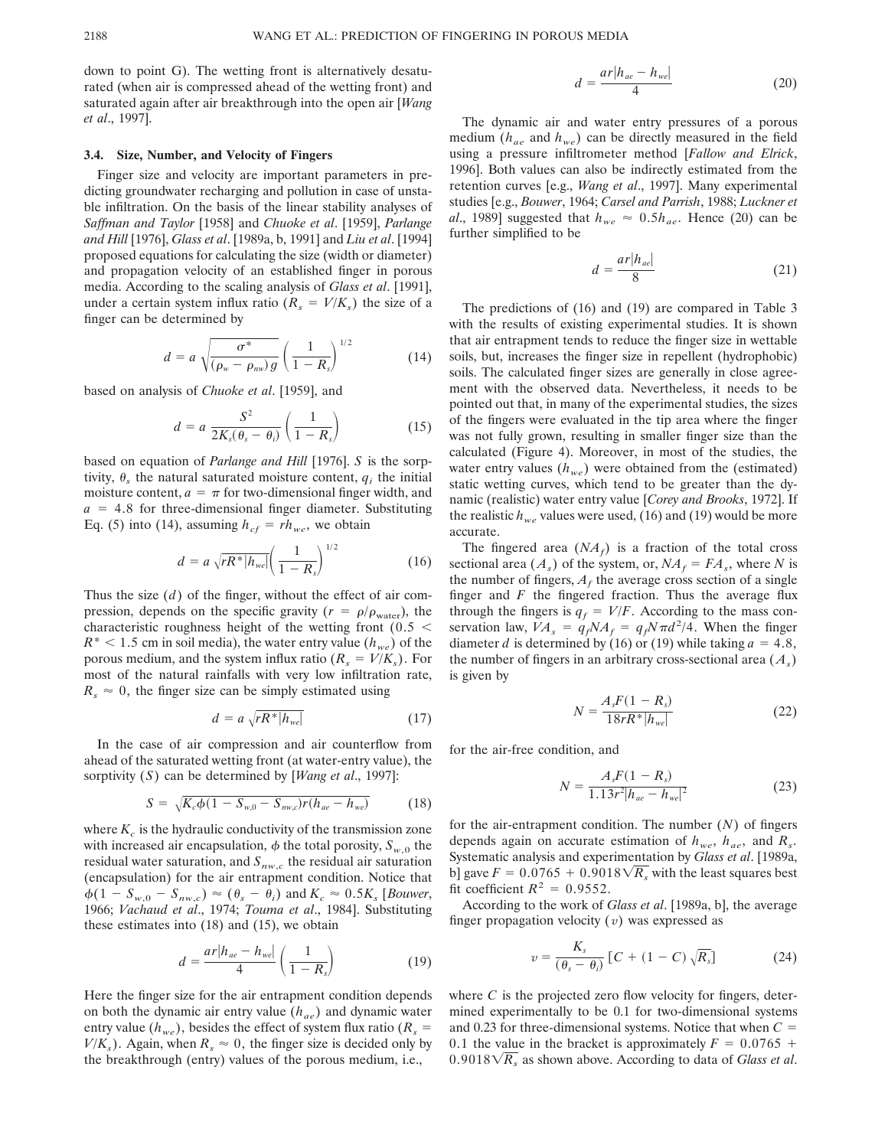down to point G). The wetting front is alternatively desaturated (when air is compressed ahead of the wetting front) and saturated again after air breakthrough into the open air [*Wang et al*., 1997].

#### **3.4. Size, Number, and Velocity of Fingers**

Finger size and velocity are important parameters in predicting groundwater recharging and pollution in case of unstable infiltration. On the basis of the linear stability analyses of *Saffman and Taylor* [1958] and *Chuoke et al*. [1959], *Parlange and Hill* [1976], *Glass et al*. [1989a, b, 1991] and *Liu et al*. [1994] proposed equations for calculating the size (width or diameter) and propagation velocity of an established finger in porous media. According to the scaling analysis of *Glass et al*. [1991], under a certain system influx ratio  $(R_s = V/K_s)$  the size of a finger can be determined by

$$
d = a \sqrt{\frac{\sigma^*}{(\rho_w - \rho_{\text{mw}})g}} \left(\frac{1}{1 - R_s}\right)^{1/2} \tag{14}
$$

based on analysis of *Chuoke et al*. [1959], and

$$
d = a \frac{S^2}{2K_s(\theta_s - \theta_i)} \left(\frac{1}{1 - R_s}\right) \tag{15}
$$

based on equation of *Parlange and Hill* [1976]. *S* is the sorptivity,  $\theta_s$  the natural saturated moisture content,  $q_i$  the initial moisture content,  $a = \pi$  for two-dimensional finger width, and  $a = 4.8$  for three-dimensional finger diameter. Substituting Eq. (5) into (14), assuming  $h_{cf} = rh_{we}$ , we obtain

$$
d = a \sqrt{rR^* |h_{we}|} \left(\frac{1}{1 - R_s}\right)^{1/2} \tag{16}
$$

Thus the size (*d*) of the finger, without the effect of air compression, depends on the specific gravity ( $r = \rho/\rho_{\text{water}}$ ), the characteristic roughness height of the wetting front ( $0.5 <$  $R^*$  < 1.5 cm in soil media), the water entry value ( $h_{we}$ ) of the porous medium, and the system influx ratio  $(R_s = V/K_s)$ . For most of the natural rainfalls with very low infiltration rate,  $R_s \approx 0$ , the finger size can be simply estimated using

$$
d = a \sqrt{rR^* |h_{we}|} \tag{17}
$$

In the case of air compression and air counterflow from ahead of the saturated wetting front (at water-entry value), the sorptivity (*S*) can be determined by [*Wang et al*., 1997]:

$$
S = \sqrt{K_c \phi (1 - S_{w,0} - S_{nw,c}) r (h_{ae} - h_{we})}
$$
(18)

where  $K_c$  is the hydraulic conductivity of the transmission zone with increased air encapsulation,  $\phi$  the total porosity,  $S_{w,0}$  the residual water saturation, and  $S_{nw,c}$  the residual air saturation (encapsulation) for the air entrapment condition. Notice that  $\phi(1 - S_{w,0} - S_{nw,c}) \approx (\theta_s - \theta_i)$  and  $K_c \approx 0.5K_s$  [*Bouwer*, 1966; *Vachaud et al*., 1974; *Touma et al*., 1984]. Substituting these estimates into (18) and (15), we obtain

$$
d = \frac{ar|h_{ae} - h_{we}|}{4} \left(\frac{1}{1 - R_s}\right) \tag{19}
$$

Here the finger size for the air entrapment condition depends on both the dynamic air entry value (*hae*) and dynamic water entry value ( $h_{we}$ ), besides the effect of system flux ratio ( $R_s$  =  $V/K<sub>s</sub>$ ). Again, when  $R<sub>s</sub> \approx 0$ , the finger size is decided only by the breakthrough (entry) values of the porous medium, i.e.,

$$
d = \frac{ar|h_{ae} - h_{we}|}{4} \tag{20}
$$

The dynamic air and water entry pressures of a porous medium  $(h_{ae}$  and  $h_{we})$  can be directly measured in the field using a pressure infiltrometer method [*Fallow and Elrick*, 1996]. Both values can also be indirectly estimated from the retention curves [e.g., *Wang et al*., 1997]. Many experimental studies [e.g., *Bouwer*, 1964; *Carsel and Parrish*, 1988; *Luckner et al.*, 1989] suggested that  $h_{we} \approx 0.5h_{ae}$ . Hence (20) can be further simplified to be

$$
d = \frac{ar|h_{ae}|}{8} \tag{21}
$$

The predictions of (16) and (19) are compared in Table 3 with the results of existing experimental studies. It is shown that air entrapment tends to reduce the finger size in wettable soils, but, increases the finger size in repellent (hydrophobic) soils. The calculated finger sizes are generally in close agreement with the observed data. Nevertheless, it needs to be pointed out that, in many of the experimental studies, the sizes of the fingers were evaluated in the tip area where the finger was not fully grown, resulting in smaller finger size than the calculated (Figure 4). Moreover, in most of the studies, the water entry values  $(h_{we})$  were obtained from the (estimated) static wetting curves, which tend to be greater than the dynamic (realistic) water entry value [*Corey and Brooks*, 1972]. If the realistic  $h_{we}$  values were used, (16) and (19) would be more accurate.

The fingered area  $(NA_f)$  is a fraction of the total cross sectional area  $(A_s)$  of the system, or,  $NA_f = FA_s$ , where *N* is the number of fingers,  $A_f$  the average cross section of a single finger and  $F$  the fingered fraction. Thus the average flux through the fingers is  $q_f = V/F$ . According to the mass conservation law,  $\overline{VA}_s = \overline{q_f}NA_f = \overline{q_f}N\pi d^2/4$ . When the finger diameter *d* is determined by (16) or (19) while taking  $a = 4.8$ , the number of fingers in an arbitrary cross-sectional area  $(A<sub>s</sub>)$ is given by

$$
N = \frac{A_s F (1 - R_s)}{18rR^* |h_{we}|}
$$
(22)

for the air-free condition, and

$$
N = \frac{A_s F (1 - R_s)}{1.13r^2 |h_{ae} - h_{we}|^2}
$$
 (23)

for the air-entrapment condition. The number (*N*) of fingers depends again on accurate estimation of  $h_{we}$ ,  $h_{ae}$ , and  $R_s$ . Systematic analysis and experimentation by *Glass et al*. [1989a, b] gave  $F = 0.0765 + 0.9018\sqrt{R_s}$  with the least squares best fit coefficient  $R^2 = 0.9552$ .

According to the work of *Glass et al*. [1989a, b], the average finger propagation velocity (*v*) was expressed as

$$
v = \frac{K_s}{(\theta_s - \theta_i)} [C + (1 - C) \sqrt{R_s}]
$$
 (24)

where  $C$  is the projected zero flow velocity for fingers, determined experimentally to be 0.1 for two-dimensional systems and 0.23 for three-dimensional systems. Notice that when  $C =$ 0.1 the value in the bracket is approximately  $F = 0.0765 +$  $0.9018\sqrt{R_s}$  as shown above. According to data of *Glass et al*.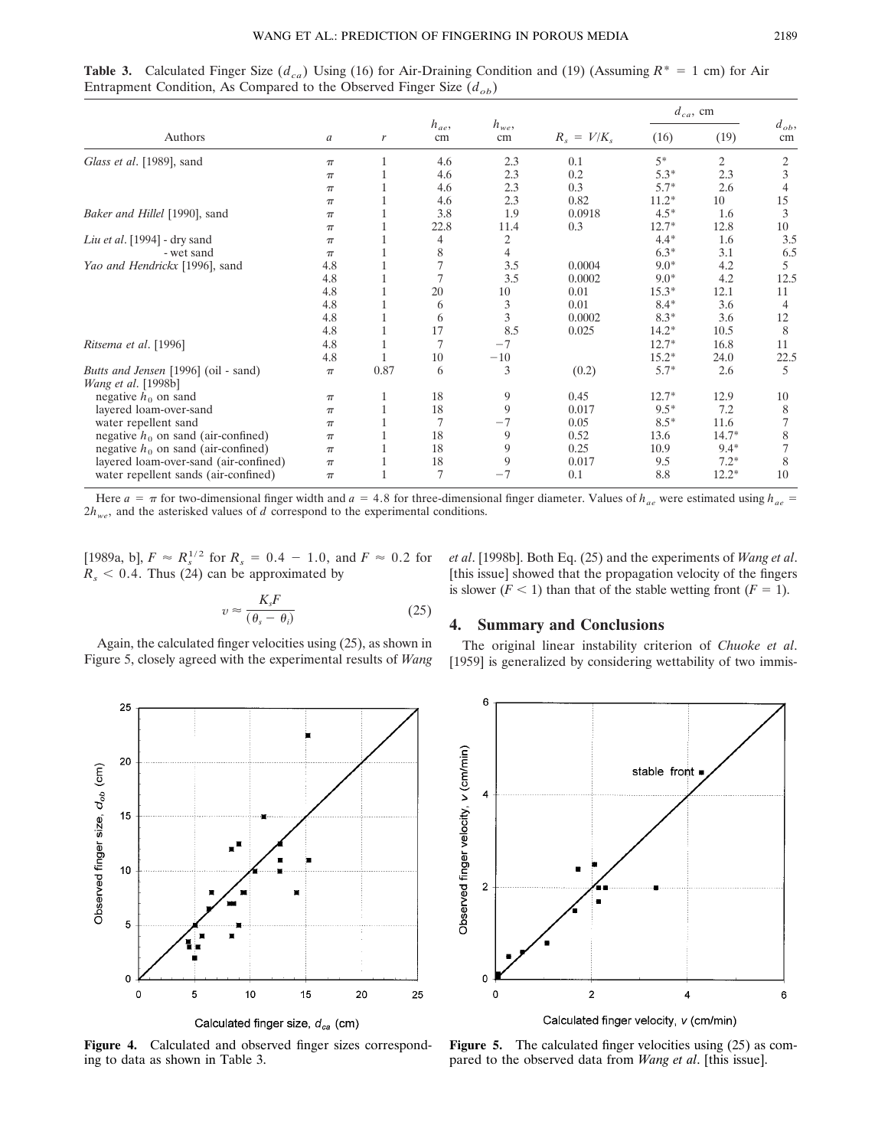**Table 3.** Calculated Finger Size ( $d_{ca}$ ) Using (16) for Air-Draining Condition and (19) (Assuming  $R^* = 1$  cm) for Air Entrapment Condition, As Compared to the Observed Finger Size  $(d_{ob})$ 

|                                                                    | a     | $\mathbf{r}$ | $h_{ae}$<br>cm | $h_{we}$ ,<br>cm | $R_s = V/K_s$ | $d_{ca}$ , cm |         |                |
|--------------------------------------------------------------------|-------|--------------|----------------|------------------|---------------|---------------|---------|----------------|
| Authors                                                            |       |              |                |                  |               | (16)          | (19)    | $d_{ob}$<br>cm |
| Glass et al. [1989], sand                                          | $\pi$ |              | 4.6            | 2.3              | 0.1           | $5*$          | 2       | 2              |
|                                                                    | $\pi$ |              | 4.6            | 2.3              | 0.2           | $5.3*$        | 2.3     | 3              |
|                                                                    | $\pi$ |              | 4.6            | 2.3              | 0.3           | $5.7*$        | 2.6     |                |
|                                                                    | $\pi$ |              | 4.6            | 2.3              | 0.82          | $11.2*$       | 10      | 15             |
| Baker and Hillel [1990], sand                                      | $\pi$ |              | 3.8            | 1.9              | 0.0918        | $4.5*$        | 1.6     | 3              |
|                                                                    | $\pi$ |              | 22.8           | 11.4             | 0.3           | $12.7*$       | 12.8    | 10             |
| Liu et al. [1994] - dry sand                                       | $\pi$ |              | 4              | 2                |               | $4.4*$        | 1.6     | 3.5            |
| - wet sand                                                         | $\pi$ |              | 8              | 4                |               | $6.3*$        | 3.1     | 6.5            |
| Yao and Hendrickx [1996], sand                                     | 4.8   |              |                | 3.5              | 0.0004        | $9.0*$        | 4.2     | 5              |
|                                                                    | 4.8   |              |                | 3.5              | 0.0002        | $9.0*$        | 4.2     | 12.5           |
|                                                                    | 4.8   |              | 20             | 10               | 0.01          | $15.3*$       | 12.1    | 11             |
|                                                                    | 4.8   |              | 6              | 3                | 0.01          | $8.4*$        | 3.6     | 4              |
|                                                                    | 4.8   |              | 6              | 3                | 0.0002        | $8.3*$        | 3.6     | 12             |
|                                                                    | 4.8   |              | 17             | 8.5              | 0.025         | $14.2*$       | 10.5    | 8              |
| Ritsema et al. [1996]                                              | 4.8   |              | $\overline{7}$ | $-7$             |               | $12.7*$       | 16.8    | 11             |
|                                                                    | 4.8   |              | 10             | $-10$            |               | $15.2*$       | 24.0    | 22.5           |
| Butts and Jensen [1996] (oil - sand)<br><i>Wang et al.</i> [1998b] | $\pi$ | 0.87         | 6              | 3                | (0.2)         | $5.7*$        | 2.6     | 5              |
| negative $h_0$ on sand                                             | $\pi$ |              | 18             | 9                | 0.45          | $12.7*$       | 12.9    | 10             |
| layered loam-over-sand                                             | $\pi$ |              | 18             | 9                | 0.017         | $9.5*$        | 7.2     | 8              |
| water repellent sand                                               | $\pi$ |              | $\overline{7}$ | $-7$             | 0.05          | $8.5*$        | 11.6    | 7              |
| negative $h_0$ on sand (air-confined)                              | $\pi$ |              | 18             | 9                | 0.52          | 13.6          | $14.7*$ | 8              |
| negative $h_0$ on sand (air-confined)                              | $\pi$ |              | 18             | 9                | 0.25          | 10.9          | $9.4*$  | 7              |
| layered loam-over-sand (air-confined)                              | $\pi$ |              | 18             | 9                | 0.017         | 9.5           | $7.2*$  | 8              |
| water repellent sands (air-confined)                               | $\pi$ |              | 7              | $-7$             | 0.1           | 8.8           | $12.2*$ | 10             |

Here  $a = \pi$  for two-dimensional finger width and  $a = 4.8$  for three-dimensional finger diameter. Values of  $h_{ae}$  were estimated using  $h_{ae}$  $2h_{we}$ , and the asterisked values of *d* correspond to the experimental conditions.

[1989a, b],  $F \approx R_s^{1/2}$  for  $R_s = 0.4 - 1.0$ , and  $F \approx 0.2$  for  $R_s$  < 0.4. Thus (24) can be approximated by

$$
v \approx \frac{K_s F}{(\theta_s - \theta_i)}\tag{25}
$$

Again, the calculated finger velocities using (25), as shown in Figure 5, closely agreed with the experimental results of *Wang* *et al*. [1998b]. Both Eq. (25) and the experiments of *Wang et al*. [this issue] showed that the propagation velocity of the fingers is slower  $(F < 1)$  than that of the stable wetting front  $(F = 1)$ .

## **4. Summary and Conclusions**

The original linear instability criterion of *Chuoke et al*. [1959] is generalized by considering wettability of two immis-



**Figure 4.** Calculated and observed finger sizes corresponding to data as shown in Table 3.



**Figure 5.** The calculated finger velocities using (25) as compared to the observed data from *Wang et al*. [this issue].